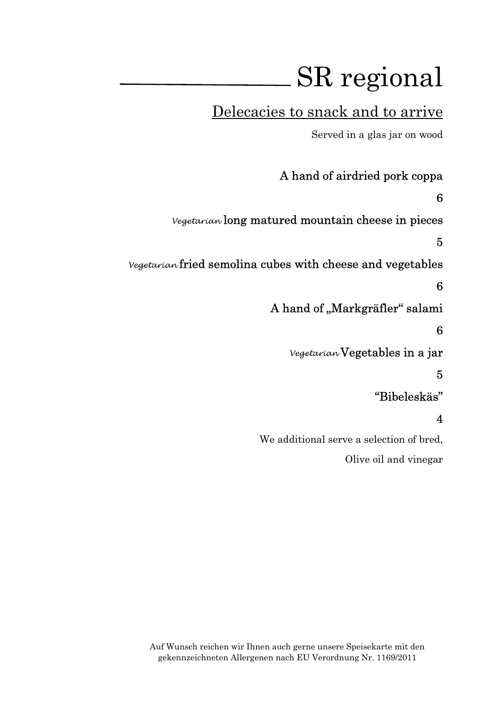# Delecacies to snack and to arrive

Served in a glas jar on wood

A hand of airdried pork coppa 6 Vegetarian long matured mountain cheese in pieces 5 Vegetarian fried semolina cubes with cheese and vegetables 6 A hand of "Markgräfler" salami 6 Vegetarian Vegetables in a jar 5 "Bibeleskäs" 4

> We additional serve a selection of bred, Olive oil and vinegar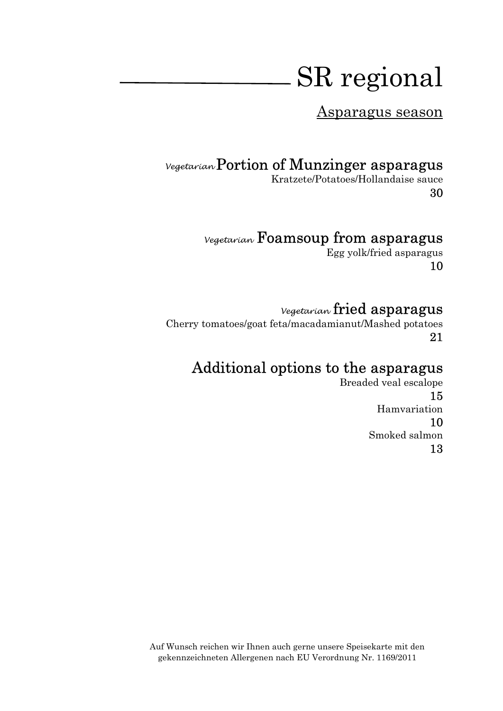Asparagus season

### Vegetarian Portion of Munzinger asparagus

Kratzete/Potatoes/Hollandaise sauce 30

### Vegetarian Foamsoup from asparagus

Egg yolk/fried asparagus 10

#### Vegetarian fried asparagus

Cherry tomatoes/goat feta/macadamianut/Mashed potatoes 21

# Additional options to the asparagus

Breaded veal escalope 15 Hamvariation 10 Smoked salmon 13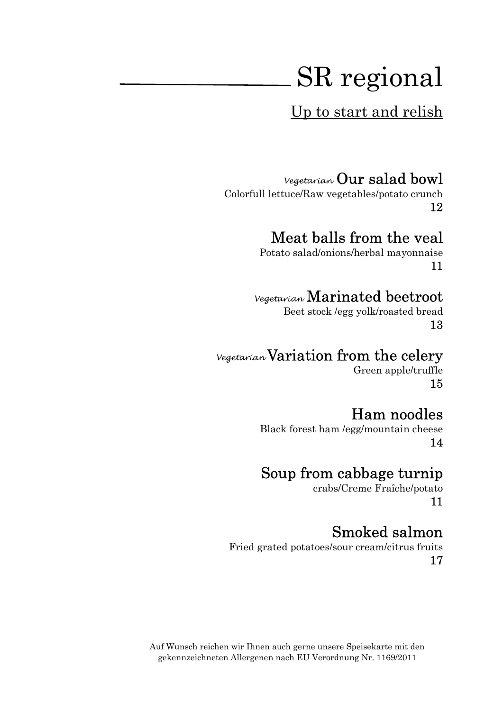Up to start and relish

#### Vegetarian Our salad bowl

Colorfull lettuce/Raw vegetables/potato crunch 12

#### Meat balls from the veal

Potato salad/onions/herbal mayonnaise 11

#### Vegetarian Marinated beetroot

Beet stock /egg yolk/roasted bread 13

#### Vegetarian Variation from the celery

Green apple/truffle 15

### Ham noodles

Black forest ham /egg/mountain cheese 14

### Soup from cabbage turnip

crabs/Creme Fraîche/potato 11

### Smoked salmon

Fried grated potatoes/sour cream/citrus fruits 17

Auf Wunsch reichen wir Ihnen auch gerne unsere Speisekarte mit den gekennzeichneten Allergenen nach EU Verordnung Nr. 1169/2011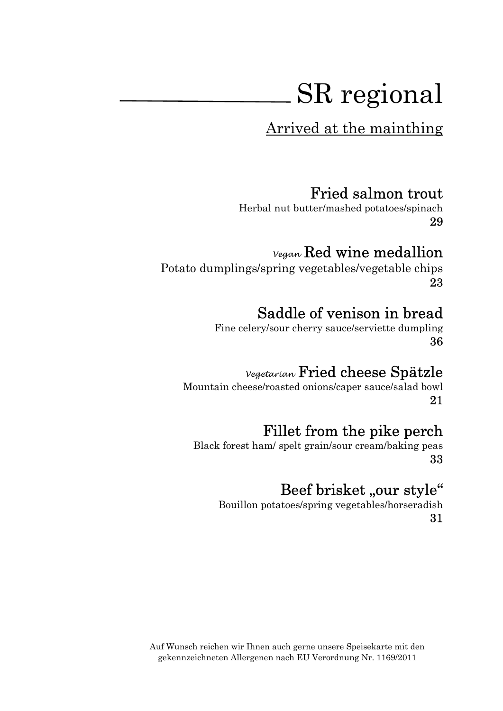Arrived at the mainthing

#### Fried salmon trout

Herbal nut butter/mashed potatoes/spinach 29

### Vegan Red wine medallion

Potato dumplings/spring vegetables/vegetable chips 23

### Saddle of venison in bread

Fine celery/sour cherry sauce/serviette dumpling 36

#### Vegetarian Fried cheese Spätzle

Mountain cheese/roasted onions/caper sauce/salad bowl 21

### Fillet from the pike perch

Black forest ham/ spelt grain/sour cream/baking peas 33

# Beef brisket "our style"

Bouillon potatoes/spring vegetables/horseradish 31

Auf Wunsch reichen wir Ihnen auch gerne unsere Speisekarte mit den gekennzeichneten Allergenen nach EU Verordnung Nr. 1169/2011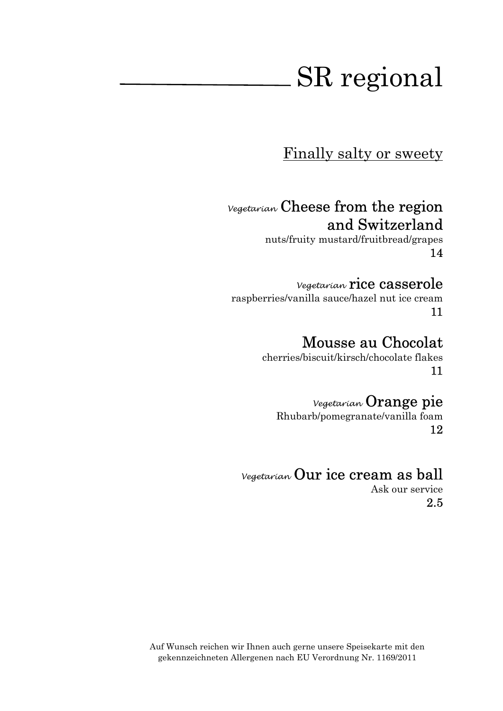Finally salty or sweety

# Vegetarian Cheese from the region and Switzerland

nuts/fruity mustard/fruitbread/grapes 14

#### Vegetarian rice casserole

raspberries/vanilla sauce/hazel nut ice cream 11

#### Mousse au Chocolat

cherries/biscuit/kirsch/chocolate flakes 11

#### Vegetarian Orange pie

Rhubarb/pomegranate/vanilla foam 12

#### Vegetarian Our ice cream as ball

Ask our service 2.5

Auf Wunsch reichen wir Ihnen auch gerne unsere Speisekarte mit den gekennzeichneten Allergenen nach EU Verordnung Nr. 1169/2011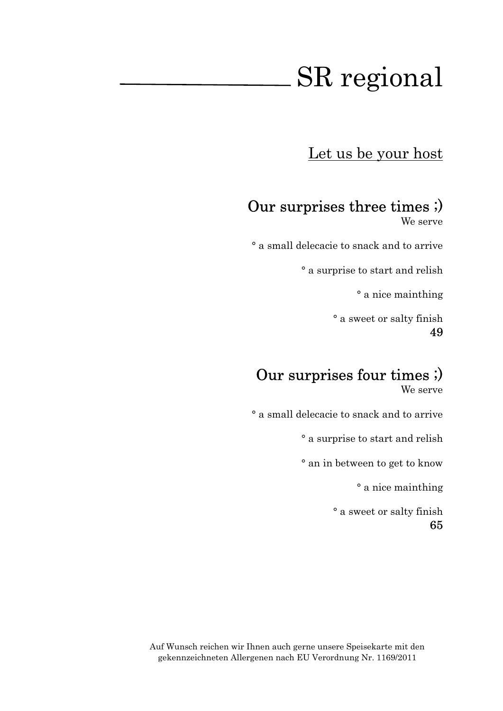Let us be your host

# Our surprises three times ;)

We serve

° a small delecacie to snack and to arrive

° a surprise to start and relish

° a nice mainthing

° a sweet or salty finish 49

# Our surprises four times ;)

We serve

° a small delecacie to snack and to arrive

° a surprise to start and relish

° an in between to get to know

° a nice mainthing

° a sweet or salty finish 65